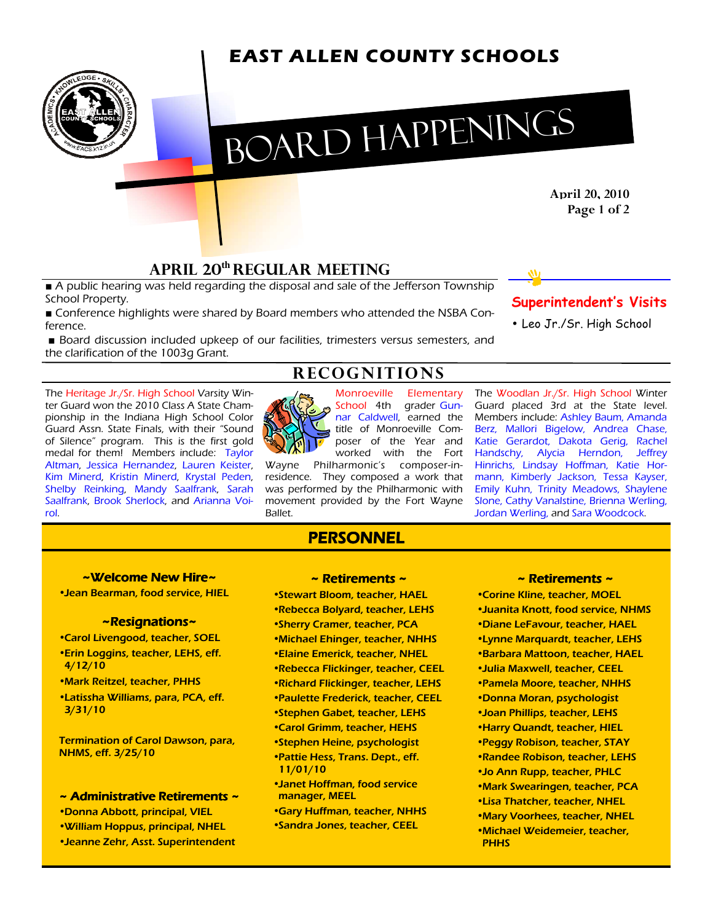# **EAST ALLEN COUNTY SCHOOLS**



# BOARD HAPPENINGS

April 20, 2010 Page 1 of 2

## APRIL 20**th** REGULAR MEETING

■ A public hearing was held regarding the disposal and sale of the Jefferson Township School Property.

■ Conference highlights were shared by Board members who attended the NSBA Conference.

■ Board discussion included upkeep of our facilities, trimesters versus semesters, and the clarification of the 1003g Grant.

The Heritage Jr./Sr. High School Varsity Winter Guard won the 2010 Class A State Championship in the Indiana High School Color Guard Assn. State Finals, with their "Sound of Silence" program. This is the first gold medal for them! Members include: Taylor Altman, Jessica Hernandez, Lauren Keister, Kim Minerd, Kristin Minerd, Krystal Peden, Shelby Reinking, Mandy Saalfrank, Sarah Saalfrank, Brook Sherlock, and Arianna Voirol.



**RECOGNITIONS** 

Monroeville Elementary School 4th grader Gunnar Caldwell, earned the title of Monroeville Composer of the Year and worked with the Fort The Woodlan Jr./Sr. High School Winter Katie Gerardot, Dakota Gerig, Rachel Handschy, Alycia Herndon, Jeffrey

Wayne Philharmonic's composer-inresidence. They composed a work that was performed by the Philharmonic with movement provided by the Fort Wayne Ballet.

## **PERSONNEL**

~Welcome New Hire~

• Jean Bearman, food service, HIEL

#### ~Resignations~

- Carol Livengood, teacher, SOEL • Erin Loggins, teacher, LEHS, eff. 4/12/10
- Mark Reitzel, teacher, PHHS
- Latissha Williams, para, PCA, eff. 3/31/10

Termination of Carol Dawson, para, NHMS, eff. 3/25/10

 $\sim$  Administrative Retirements  $\sim$ 

- Donna Abbott, principal, VIEL
- William Hoppus, principal, NHEL
- Jeanne Zehr, Asst. Superintendent

#### $\sim$  Retirements  $\sim$

- Stewart Bloom, teacher, HAEL
- Rebecca Bolyard, teacher, LEHS
- Sherry Cramer, teacher, PCA
- Michael Ehinger, teacher, NHHS
- Elaine Emerick, teacher, NHEL
- Rebecca Flickinger, teacher, CEEL
- Richard Flickinger, teacher, LEHS
- Paulette Frederick, teacher, CEEL
- Stephen Gabet, teacher, LEHS
- Carol Grimm, teacher, HEHS
- Stephen Heine, psychologist
- Pattie Hess, Trans. Dept., eff. 11/01/10
- Janet Hoffman, food service manager, MEEL
- Gary Huffman, teacher, NHHS
- Sandra Jones, teacher, CEEL

#### ~ Retirements ~ ~

- Corine Kline, teacher, MOEL
- Juanita Knott, food service, NHMS
- Diane LeFavour, teacher, HAEL
- Lynne Marquardt, teacher, LEHS
- Barbara Mattoon, teacher, HAEL
- Julia Maxwell, teacher, CEEL
- Pamela Moore, teacher, NHHS
- Donna Moran, psychologist
- Joan Phillips, teacher, LEHS
- Harry Quandt, teacher, HIEL
- Peggy Robison, teacher, STAY
- Randee Robison, teacher, LEHS
- Jo Ann Rupp, teacher, PHLC
- Mark Swearingen, teacher, PCA
- Lisa Thatcher, teacher, NHEL
- Mary Voorhees, teacher, NHEL
- Michael Weidemeier, teacher, **PHHS**

### Superintendent's Visits

• Leo Jr./Sr. High School

Guard placed 3rd at the State level. Members include: Ashley Baum, Amanda Berz, Mallori Bigelow, Andrea Chase,

Hinrichs, Lindsay Hoffman, Katie Hormann, Kimberly Jackson, Tessa Kayser, Emily Kuhn, Trinity Meadows, Shaylene Slone, Cathy Vanalstine, Brienna Werling, Jordan Werling, and Sara Woodcock.